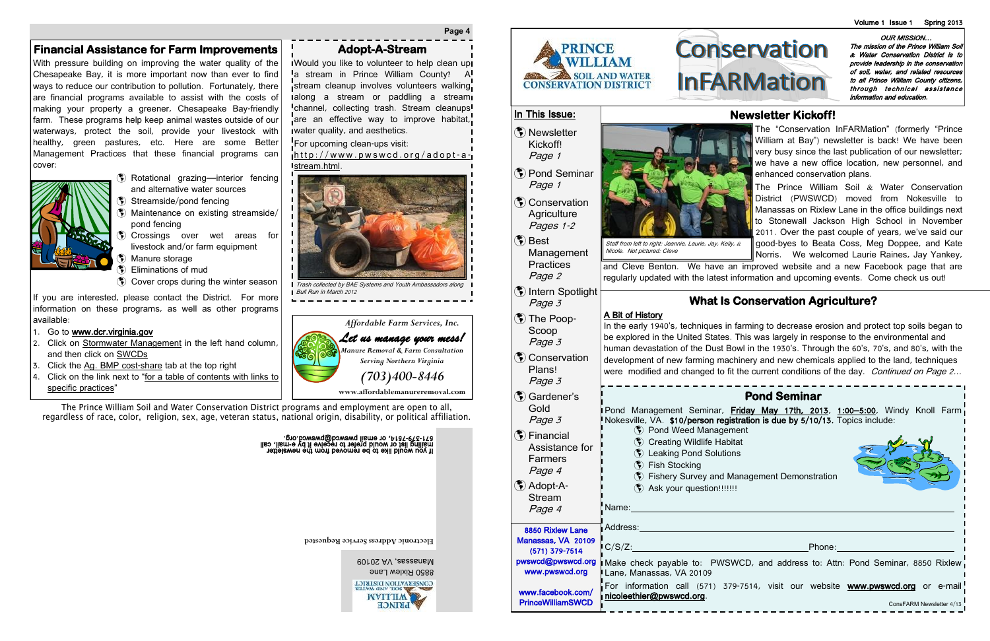**Electronic Address Service Requested**

OUR MISSION… The mission of the Prince William Soil & Water Conservation District is to provide leadership in the conservation of soil, water, and related resources to all Prince William County citizens, through technical assistance information and education.

# **Newsletter Kickoff!**

The Prince William Soil  $&$  Water Conservation District (PWSWCD) moved from Nokesville to Manassas on Rixlew Lane in the office buildings next to Stonewall Jackson High School in November 2011. Over the past couple of years, we've said our good-byes to Beata Coss, Meg Doppee, and Kate Norris. We welcomed Laurie Raines, Jay Yankey,

The "Conservation InFARMation" (formerly "Prince William at Bay") newsletter is back! We have been very busy since the last publication of our newsletter; we have a new office location, new personnel, and enhanced conservation plans.

Manassas, VA 20109 8850 Rixlew Lane CONSEBNATION DISTRICT

**LVM CINV TIOS WATTIM PRINCE** 





# In This Issue:

With pressure building on improving the water quality of the Chesapeake Bay, it is more important now than ever to find ways to reduce our contribution to pollution. Fortunately, there are financial programs available to assist with the costs of making your property a greener, Chesapeake Bay-friendly farm. These programs help keep animal wastes outside of our waterways, protect the soil, provide your livestock with healthy, green pastures, etc. Here are some Better Management Practices that these financial programs can cover:



- Rotational grazing—interior fencing and alternative water sources Streamside/pond fencing
- $$$  Maintenance on existing streamside/ pond fencing
- **S** Crossings over wet areas for livestock and/or farm equipment
- Manure storage
- (\*) Eliminations of mud
- Cover crops during the winter season

and Cleve Benton. We have an improved website and a new Facebook page that are regularly updated with the latest information and upcoming events. Come check us out!

Staff from left to right: Jeannie, Laurie, Jay, Kelly, & Nicole. Not pictured: Cleve

**Page 4**

## **Financial Assistance for Farm Improvements**

#### Volume 1 Issue 1 Spring 2013



In the early 1940's, techniques in farming to decrease erosion and protect top soils began to be explored in the United States. This was largely in response to the environmental and human devastation of the Dust Bowl in the 1930's. Through the 60's, 70's, and 80's, with the development of new farming machinery and new chemicals applied to the land, techniques were modified and changed to fit the current conditions of the day. Continued on Page 2...

- $\bullet$  Pond Weed Manage  $\left($ <sub>5</sub>) Creating Wildlife Hab
- **(\*)** Leaking Pond Solutions
- Fish Stocking
- $$$  Fishery Survey and N
- $$$  Ask your question!!!!

If you are interested, please contact the District. For more information on these programs, as well as other programs available:

- 1. Go to www.dcr.virginia.gov
- 2. Click on Stormwater Management in the left hand column, and then click on SWCDs
- 3. Click the Ag. BMP cost-share tab at the top right
- 4. Click on the link next to "for a table of contents with links to specific practices"

The Prince William Soil and Water Conservation District programs and employment are open to all, regardless of race, color, religion, sex, age, veteran status, national origin, disability, or political affiliation.

If you would like to be removed from the newsletter all of the mewsletter<br>mailing list or would prefer to receive it by e-mail, call<br>mail ist or would his be receive it by e-mail, call

| <b>Pond Seminar</b>                                                                                                                                                                                                                                                                                                                                                                        |                          |  |  |  |
|--------------------------------------------------------------------------------------------------------------------------------------------------------------------------------------------------------------------------------------------------------------------------------------------------------------------------------------------------------------------------------------------|--------------------------|--|--|--|
| Pond Management Seminar <i>,</i> Friday May 17th <i>,</i> 2013. 1:00–5:00. Windy Knoll Farm,<br>Nokesville, VA. \$10/person registration is due by 5/10/13. Topics include:<br>(*) Pond Weed Management<br>(*) Creating Wildlife Habitat<br>(♥) Leaking Pond Solutions<br>(♥) Fish Stocking<br>(*) Fishery Survey and Management Demonstration<br>$\binom{2}{3}$ Ask your question!!!!!!!! |                          |  |  |  |
| Name:                                                                                                                                                                                                                                                                                                                                                                                      |                          |  |  |  |
| Address:                                                                                                                                                                                                                                                                                                                                                                                   |                          |  |  |  |
| C/S/Z:                                                                                                                                                                                                                                                                                                                                                                                     | Phone: Phone             |  |  |  |
| Make check payable to: PWSWCD, and address to: Attn: Pond Seminar, 8850 Rixlew<br>Lane, Manassas, VA 20109                                                                                                                                                                                                                                                                                 |                          |  |  |  |
| For information call (571) 379-7514, visit our website www.pwswcd.org or e-mail<br>nicoleethier@pwswcd.org.                                                                                                                                                                                                                                                                                |                          |  |  |  |
|                                                                                                                                                                                                                                                                                                                                                                                            | ConsFARM Newsletter 4/13 |  |  |  |
|                                                                                                                                                                                                                                                                                                                                                                                            |                          |  |  |  |

| Name:                                                                          |  |        |
|--------------------------------------------------------------------------------|--|--------|
| Address:                                                                       |  |        |
| $C/S/Z$ :                                                                      |  | Phone: |
| Make check payable to: PWSWCD, and address to: Att<br>Lane, Manassas, VA 20109 |  |        |

- Newsletter Kickoff! Page 1
- Pond Seminar Page 1
- Conservation **Agriculture** Pages 1-2
- $\binom{2}{3}$  Best Management **Practices** Page 2
- Intern Spotlight Page 3
- The Poop-Scoop Page 3
- **(\*)** Conservation Plans! Page 3
- Gardener's Gold
- Page 3
- Financial Assistance for Farmers Page 4
- Adopt-A-Stream Page 4

8850 Rixlew Lane Manassas, VA 20109 (571) 379-7514

pwswcd@pwswcd.org www.pwswcd.org

www.facebook.com/ PrinceWilliamSWCD



# **What Is Conservation Agriculture?**

### A Bit of History

**Adopt-A -Stream** Would you like to volunteer to help clean up <sup>1</sup>a stream in Prince William County? A<sup>1</sup> stream cleanup involves volunteers walking. Ialong a stream or paddling a stream channel, collecting trash. Stream cleanups are an effective way to improve habitat,

 $h$ ttp://www.pwswcd.org/adopt-a-

Trash collected by BAE Systems and Youth Ambassadors along

water quality, and aesthetics. For upcoming clean-ups visit:

stream.html.

Bull Run in March 2012

*Affordable Farm Services, Inc. Let us manage your mess! Manure Removal & Farm Consultation Serving Northern Virginia*

*(703)400-8446* **www.affordablemanureremoval.com**